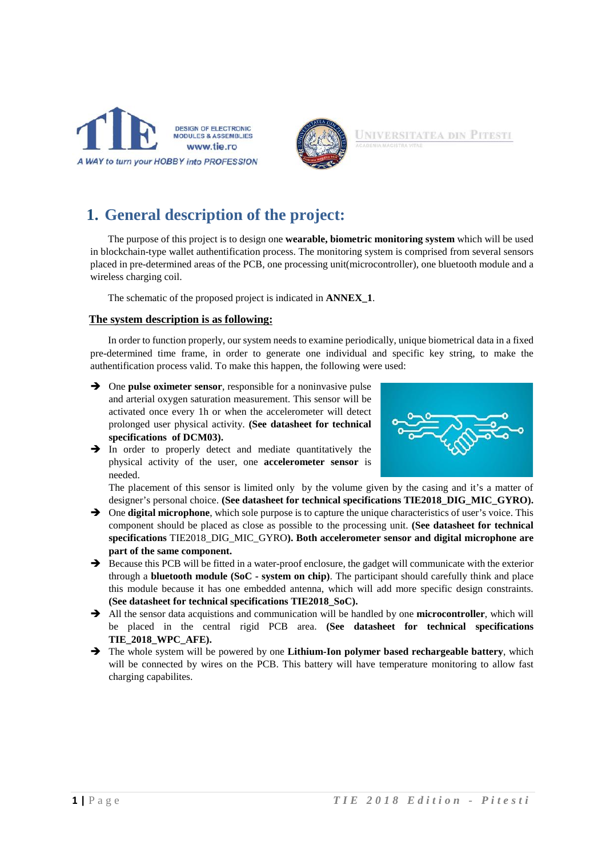



UNIVERSITATEA DIN **PITESTI** 

### **1. General description of the project:**

The purpose of this project is to design one **wearable, biometric monitoring system** which will be used in blockchain-type wallet authentification process. The monitoring system is comprised from several sensors placed in pre-determined areas of the PCB, one processing unit(microcontroller), one bluetooth module and a wireless charging coil.

The schematic of the proposed project is indicated in **ANNEX\_1**.

#### **The system description is as following:**

In order to function properly, our system needs to examine periodically, unique biometrical data in a fixed pre-determined time frame, in order to generate one individual and specific key string, to make the authentification process valid. To make this happen, the following were used:

- One **pulse oximeter sensor**, responsible for a noninvasive pulse and arterial oxygen saturation measurement. This sensor will be activated once every 1h or when the accelerometer will detect prolonged user physical activity. **(See datasheet for technical specifications of DCM03).**
- $\rightarrow$  In order to properly detect and mediate quantitatively the physical activity of the user, one **accelerometer sensor** is needed.

The placement of this sensor is limited only by the volume given by the casing and it's a matter of

- designer's personal choice. **(See datasheet for technical specifications TIE2018\_DIG\_MIC\_GYRO).**  $\rightarrow$  One **digital microphone**, which sole purpose is to capture the unique characteristics of user's voice. This component should be placed as close as possible to the processing unit. **(See datasheet for technical specifications** TIE2018\_DIG\_MIC\_GYRO**). Both accelerometer sensor and digital microphone are part of the same component.**
- $\rightarrow$  Because this PCB will be fitted in a water-proof enclosure, the gadget will communicate with the exterior through a **bluetooth module (SoC - system on chip)**. The participant should carefully think and place this module because it has one embedded antenna, which will add more specific design constraints. **(See datasheet for technical specifications TIE2018\_SoC).**
- All the sensor data acquistions and communication will be handled by one **microcontroller**, which will be placed in the central rigid PCB area. **(See datasheet for technical specifications TIE\_2018\_WPC\_AFE).**
- The whole system will be powered by one **Lithium-Ion polymer based rechargeable battery**, which will be connected by wires on the PCB. This battery will have temperature monitoring to allow fast charging capabilites.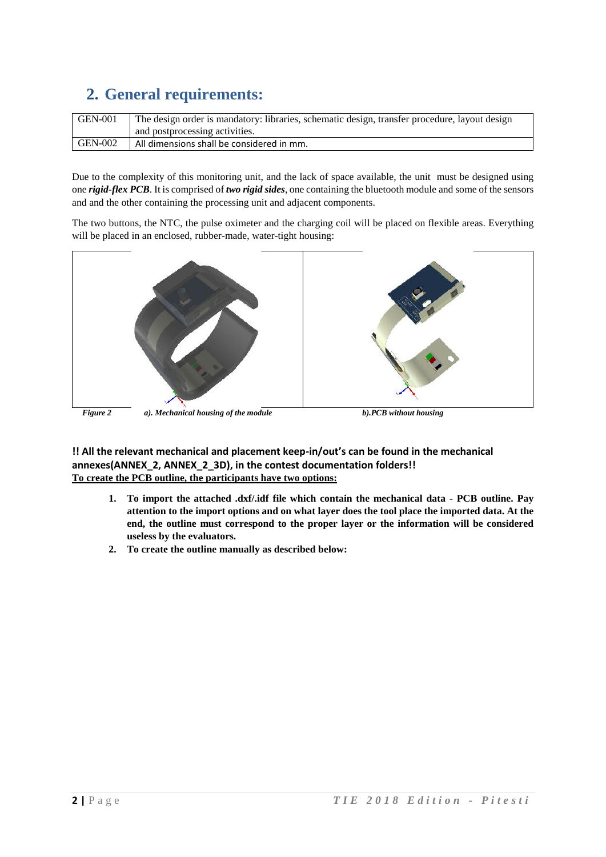## **2. General requirements:**

| <b>GEN-001</b> | The design order is mandatory: libraries, schematic design, transfer procedure, layout design |
|----------------|-----------------------------------------------------------------------------------------------|
|                | and postprocessing activities.                                                                |
| GEN-002        | All dimensions shall be considered in mm.                                                     |

Due to the complexity of this monitoring unit, and the lack of space available, the unit must be designed using one *rigid-flex PCB*. It is comprised of *two rigid sides*, one containing the bluetooth module and some of the sensors and and the other containing the processing unit and adjacent components.

The two buttons, the NTC, the pulse oximeter and the charging coil will be placed on flexible areas. Everything will be placed in an enclosed, rubber-made, water-tight housing:



*Figure 2 a). Mechanical housing of the module b).PCB without housing*

**!! All the relevant mechanical and placement keep-in/out's can be found in the mechanical annexes(ANNEX\_2, ANNEX\_2\_3D), in the contest documentation folders!! To create the PCB outline, the participants have two options:**

- **1. To import the attached .dxf/.idf file which contain the mechanical data - PCB outline. Pay attention to the import options and on what layer does the tool place the imported data. At the end, the outline must correspond to the proper layer or the information will be considered useless by the evaluators.**
- **2. To create the outline manually as described below:**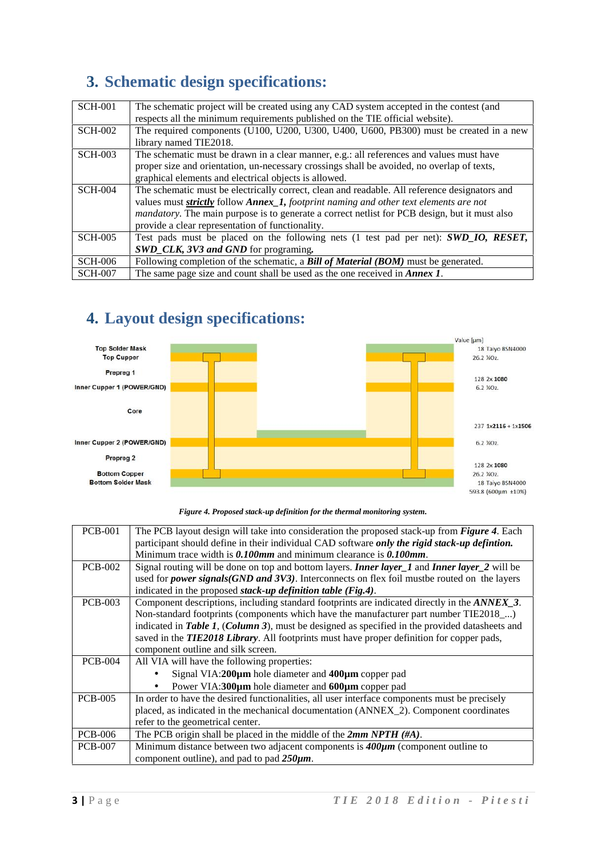## **3. Schematic design specifications:**

| <b>SCH-001</b> | The schematic project will be created using any CAD system accepted in the contest (and<br>respects all the minimum requirements published on the TIE official website).                                                                                                                                                                            |
|----------------|-----------------------------------------------------------------------------------------------------------------------------------------------------------------------------------------------------------------------------------------------------------------------------------------------------------------------------------------------------|
| <b>SCH-002</b> | The required components (U100, U200, U300, U400, U600, PB300) must be created in a new<br>library named TIE2018.                                                                                                                                                                                                                                    |
| <b>SCH-003</b> | The schematic must be drawn in a clear manner, e.g.: all references and values must have<br>proper size and orientation, un-necessary crossings shall be avoided, no overlap of texts,<br>graphical elements and electrical objects is allowed.                                                                                                     |
| <b>SCH-004</b> | The schematic must be electrically correct, clean and readable. All reference designators and<br>values must strictly follow Annex_1, footprint naming and other text elements are not<br><i>mandatory</i> . The main purpose is to generate a correct netlist for PCB design, but it must also<br>provide a clear representation of functionality. |
| <b>SCH-005</b> | Test pads must be placed on the following nets (1 test pad per net): SWD_IO, RESET,<br>SWD_CLK, 3V3 and GND for programing.                                                                                                                                                                                                                         |
| <b>SCH-006</b> | Following completion of the schematic, a Bill of Material (BOM) must be generated.                                                                                                                                                                                                                                                                  |
| <b>SCH-007</b> | The same page size and count shall be used as the one received in <i>Annex 1</i> .                                                                                                                                                                                                                                                                  |

## **4. Layout design specifications:**



#### *Figure 4. Proposed stack-up definition for the thermal monitoring system.*

| Minimum trace width is $0.100$ mm and minimum clearance is $0.100$ mm.<br><b>PCB-002</b><br>indicated in the proposed stack-up definition table (Fig.4).<br><b>PCB-003</b><br>indicated in Table 1, (Column 3), must be designed as specified in the provided datasheets and<br>saved in the TIE2018 Library. All footprints must have proper definition for copper pads,<br>component outline and silk screen.<br><b>PCB-004</b><br>All VIA will have the following properties:<br>Signal VIA:200µm hole diameter and 400µm copper pad<br>Power VIA:300µm hole diameter and 600µm copper pad<br><b>PCB-005</b><br>refer to the geometrical center.<br>The PCB origin shall be placed in the middle of the $2mm NPTH$ (#A).<br><b>PCB-006</b><br>Minimum distance between two adjacent components is $400 \mu m$ (component outline to<br><b>PCB-007</b> | <b>PCB-001</b> | The PCB layout design will take into consideration the proposed stack-up from <i>Figure 4</i> . Each        |  |  |
|----------------------------------------------------------------------------------------------------------------------------------------------------------------------------------------------------------------------------------------------------------------------------------------------------------------------------------------------------------------------------------------------------------------------------------------------------------------------------------------------------------------------------------------------------------------------------------------------------------------------------------------------------------------------------------------------------------------------------------------------------------------------------------------------------------------------------------------------------------|----------------|-------------------------------------------------------------------------------------------------------------|--|--|
|                                                                                                                                                                                                                                                                                                                                                                                                                                                                                                                                                                                                                                                                                                                                                                                                                                                          |                | participant should define in their individual CAD software only the rigid stack-up definition.              |  |  |
|                                                                                                                                                                                                                                                                                                                                                                                                                                                                                                                                                                                                                                                                                                                                                                                                                                                          |                |                                                                                                             |  |  |
|                                                                                                                                                                                                                                                                                                                                                                                                                                                                                                                                                                                                                                                                                                                                                                                                                                                          |                | Signal routing will be done on top and bottom layers. <b>Inner layer_1</b> and <b>Inner layer_2</b> will be |  |  |
|                                                                                                                                                                                                                                                                                                                                                                                                                                                                                                                                                                                                                                                                                                                                                                                                                                                          |                | used for <i>power signals(GND and 3V3)</i> . Interconnects on flex foil must be routed on the layers        |  |  |
|                                                                                                                                                                                                                                                                                                                                                                                                                                                                                                                                                                                                                                                                                                                                                                                                                                                          |                |                                                                                                             |  |  |
|                                                                                                                                                                                                                                                                                                                                                                                                                                                                                                                                                                                                                                                                                                                                                                                                                                                          |                | Component descriptions, including standard footprints are indicated directly in the ANNEX_3.                |  |  |
|                                                                                                                                                                                                                                                                                                                                                                                                                                                                                                                                                                                                                                                                                                                                                                                                                                                          |                | Non-standard footprints (components which have the manufacturer part number TIE2018 <sub>_</sub> )          |  |  |
|                                                                                                                                                                                                                                                                                                                                                                                                                                                                                                                                                                                                                                                                                                                                                                                                                                                          |                |                                                                                                             |  |  |
|                                                                                                                                                                                                                                                                                                                                                                                                                                                                                                                                                                                                                                                                                                                                                                                                                                                          |                |                                                                                                             |  |  |
|                                                                                                                                                                                                                                                                                                                                                                                                                                                                                                                                                                                                                                                                                                                                                                                                                                                          |                |                                                                                                             |  |  |
|                                                                                                                                                                                                                                                                                                                                                                                                                                                                                                                                                                                                                                                                                                                                                                                                                                                          |                |                                                                                                             |  |  |
|                                                                                                                                                                                                                                                                                                                                                                                                                                                                                                                                                                                                                                                                                                                                                                                                                                                          |                |                                                                                                             |  |  |
|                                                                                                                                                                                                                                                                                                                                                                                                                                                                                                                                                                                                                                                                                                                                                                                                                                                          |                |                                                                                                             |  |  |
|                                                                                                                                                                                                                                                                                                                                                                                                                                                                                                                                                                                                                                                                                                                                                                                                                                                          |                | In order to have the desired functionalities, all user interface components must be precisely               |  |  |
|                                                                                                                                                                                                                                                                                                                                                                                                                                                                                                                                                                                                                                                                                                                                                                                                                                                          |                | placed, as indicated in the mechanical documentation (ANNEX_2). Component coordinates                       |  |  |
|                                                                                                                                                                                                                                                                                                                                                                                                                                                                                                                                                                                                                                                                                                                                                                                                                                                          |                |                                                                                                             |  |  |
|                                                                                                                                                                                                                                                                                                                                                                                                                                                                                                                                                                                                                                                                                                                                                                                                                                                          |                |                                                                                                             |  |  |
|                                                                                                                                                                                                                                                                                                                                                                                                                                                                                                                                                                                                                                                                                                                                                                                                                                                          |                |                                                                                                             |  |  |
|                                                                                                                                                                                                                                                                                                                                                                                                                                                                                                                                                                                                                                                                                                                                                                                                                                                          |                | component outline), and pad to pad $250 \mu m$ .                                                            |  |  |
|                                                                                                                                                                                                                                                                                                                                                                                                                                                                                                                                                                                                                                                                                                                                                                                                                                                          |                |                                                                                                             |  |  |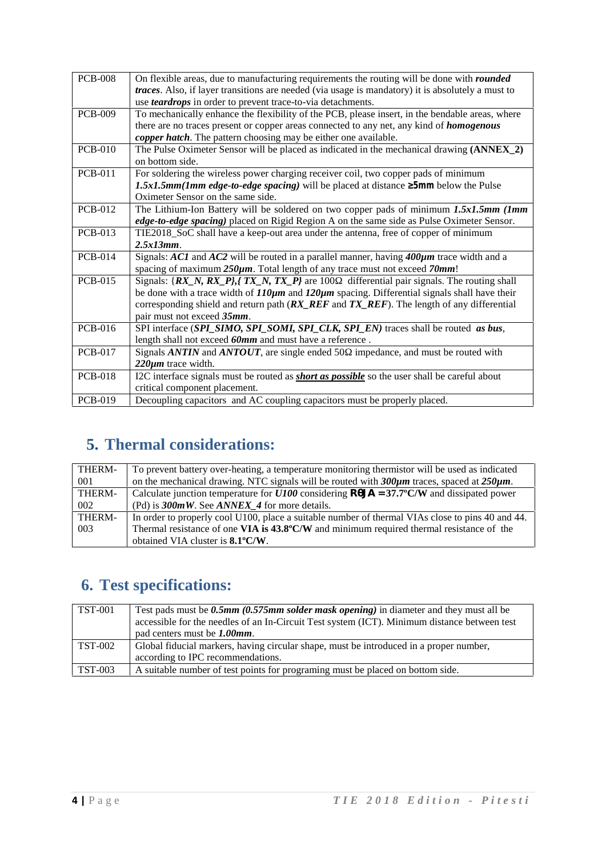| <b>PCB-008</b> | On flexible areas, due to manufacturing requirements the routing will be done with <i>rounded</i>         |
|----------------|-----------------------------------------------------------------------------------------------------------|
|                | <i>traces</i> . Also, if layer transitions are needed (via usage is mandatory) it is absolutely a must to |
|                | use <i>teardrops</i> in order to prevent trace-to-via detachments.                                        |
| <b>PCB-009</b> | To mechanically enhance the flexibility of the PCB, please insert, in the bendable areas, where           |
|                | there are no traces present or copper areas connected to any net, any kind of <i>homogenous</i>           |
|                | copper hatch. The pattern choosing may be either one available.                                           |
| <b>PCB-010</b> | The Pulse Oximeter Sensor will be placed as indicated in the mechanical drawing (ANNEX_2)                 |
|                | on bottom side.                                                                                           |
| <b>PCB-011</b> | For soldering the wireless power charging receiver coil, two copper pads of minimum                       |
|                | 1.5x1.5mm(1mm edge-to-edge spacing) will be placed at distance 5mm below the Pulse                        |
|                | Oximeter Sensor on the same side.                                                                         |
| <b>PCB-012</b> | The Lithium-Ion Battery will be soldered on two copper pads of minimum 1.5x1.5mm (Imm                     |
|                | edge-to-edge spacing) placed on Rigid Region A on the same side as Pulse Oximeter Sensor.                 |
| <b>PCB-013</b> | TIE2018_SoC shall have a keep-out area under the antenna, free of copper of minimum                       |
|                | $2.5x13mm$ .                                                                                              |
| <b>PCB-014</b> | Signals: ACI and AC2 will be routed in a parallel manner, having $400\mu m$ trace width and a             |
|                | spacing of maximum $250\mu m$ . Total length of any trace must not exceed $70mm!$                         |
| <b>PCB-015</b> | Signals: $\{RX_N, RX_P\}$ $TX_N, TX_P\}$ are 100 differential pair signals. The routing shall             |
|                | be done with a trace width of $110\mu m$ and $120\mu m$ spacing. Differential signals shall have their    |
|                | corresponding shield and return path $(RX\_REF$ and $TX\_REF$ . The length of any differential            |
|                | pair must not exceed 35mm.                                                                                |
| <b>PCB-016</b> | SPI interface (SPI_SIMO, SPI_SOMI, SPI_CLK, SPI_EN) traces shall be routed as bus,                        |
|                | length shall not exceed 60mm and must have a reference.                                                   |
| <b>PCB-017</b> | Signals ANTIN and ANTOUT, are single ended 50 impedance, and must be routed with                          |
|                | $220 \mu m$ trace width.                                                                                  |
| <b>PCB-018</b> | I2C interface signals must be routed as <b>short as possible</b> so the user shall be careful about       |
|                | critical component placement.                                                                             |
| <b>PCB-019</b> | Decoupling capacitors and AC coupling capacitors must be properly placed.                                 |
|                |                                                                                                           |

# **5. Thermal considerations:**

| THERM- | To prevent battery over-heating, a temperature monitoring thermistor will be used as indicated       |  |  |
|--------|------------------------------------------------------------------------------------------------------|--|--|
| 001    | on the mechanical drawing. NTC signals will be routed with $300\mu m$ traces, spaced at $250\mu m$ . |  |  |
| THERM- | Calculate junction temperature for $U100$ considering <b>R</b> JA = 37.7°C/W and dissipated power    |  |  |
| 002    | (Pd) is $300mW$ . See ANNEX 4 for more details.                                                      |  |  |
| THERM- | In order to properly cool U100, place a suitable number of thermal VIAs close to pins 40 and 44.     |  |  |
| 003    | Thermal resistance of one VIA is $43.8^{\circ}$ C/W and minimum required thermal resistance of the   |  |  |
|        | obtained VIA cluster is 8.1°C/W.                                                                     |  |  |

## **6. Test specifications:**

| <b>TST-001</b> | Test pads must be 0.5mm (0.575mm solder mask opening) in diameter and they must all be<br>accessible for the needles of an In-Circuit Test system (ICT). Minimum distance between test<br>pad centers must be 1.00mm. |
|----------------|-----------------------------------------------------------------------------------------------------------------------------------------------------------------------------------------------------------------------|
| TST-002        | Global fiducial markers, having circular shape, must be introduced in a proper number,<br>according to IPC recommendations.                                                                                           |
| TST-003        | A suitable number of test points for programing must be placed on bottom side.                                                                                                                                        |